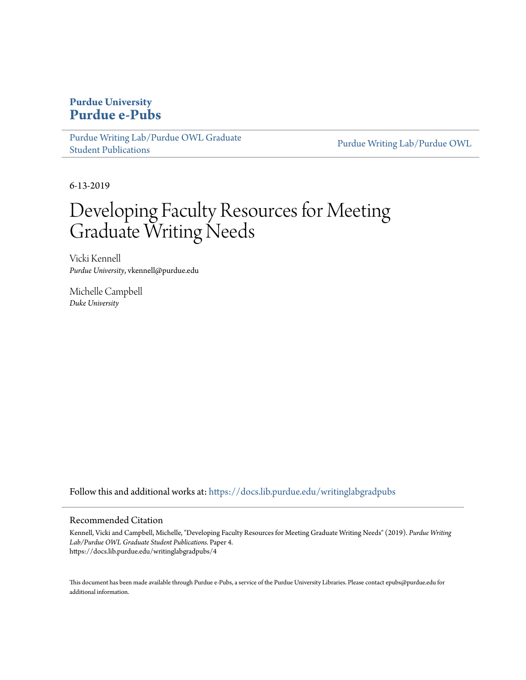#### **Purdue University [Purdue e-Pubs](https://docs.lib.purdue.edu?utm_source=docs.lib.purdue.edu%2Fwritinglabgradpubs%2F4&utm_medium=PDF&utm_campaign=PDFCoverPages)**

[Purdue Writing Lab/Purdue OWL Graduate](https://docs.lib.purdue.edu/writinglabgradpubs?utm_source=docs.lib.purdue.edu%2Fwritinglabgradpubs%2F4&utm_medium=PDF&utm_campaign=PDFCoverPages) [Student Publications](https://docs.lib.purdue.edu/writinglabgradpubs?utm_source=docs.lib.purdue.edu%2Fwritinglabgradpubs%2F4&utm_medium=PDF&utm_campaign=PDFCoverPages)

[Purdue Writing Lab/Purdue OWL](https://docs.lib.purdue.edu/writinglab?utm_source=docs.lib.purdue.edu%2Fwritinglabgradpubs%2F4&utm_medium=PDF&utm_campaign=PDFCoverPages)

6-13-2019

#### Developing Faculty Resources for Meeting Graduate Writing Needs

Vicki Kennell *Purdue University*, vkennell@purdue.edu

Michelle Campbell *Duke University*

Follow this and additional works at: [https://docs.lib.purdue.edu/writinglabgradpubs](https://docs.lib.purdue.edu/writinglabgradpubs?utm_source=docs.lib.purdue.edu%2Fwritinglabgradpubs%2F4&utm_medium=PDF&utm_campaign=PDFCoverPages)

#### Recommended Citation

Kennell, Vicki and Campbell, Michelle, "Developing Faculty Resources for Meeting Graduate Writing Needs" (2019). *Purdue Writing Lab/Purdue OWL Graduate Student Publications.* Paper 4. https://docs.lib.purdue.edu/writinglabgradpubs/4

This document has been made available through Purdue e-Pubs, a service of the Purdue University Libraries. Please contact epubs@purdue.edu for additional information.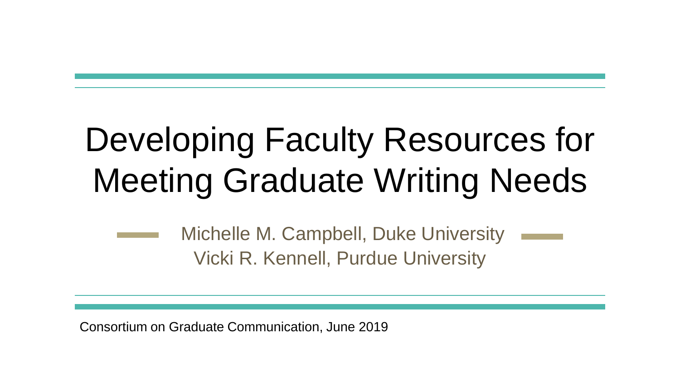### Developing Faculty Resources for Meeting Graduate Writing Needs

Michelle M. Campbell, Duke University Vicki R. Kennell, Purdue University

Consortium on Graduate Communication, June 2019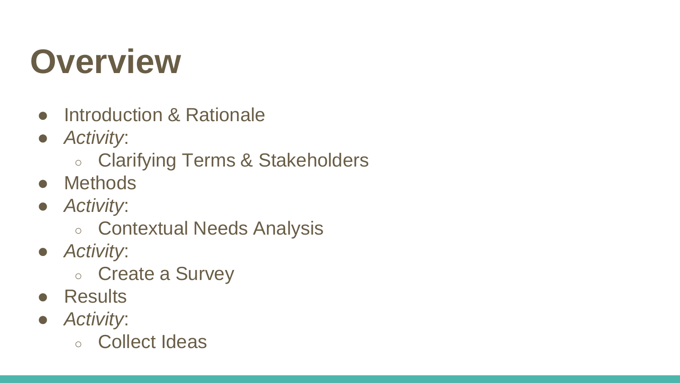#### **Overview**

- Introduction & Rationale
- *Activity*:
	- Clarifying Terms & Stakeholders
- Methods
- *Activity*:
	- Contextual Needs Analysis
- *Activity*:
	- Create a Survey
- Results
- *Activity*:
	- Collect Ideas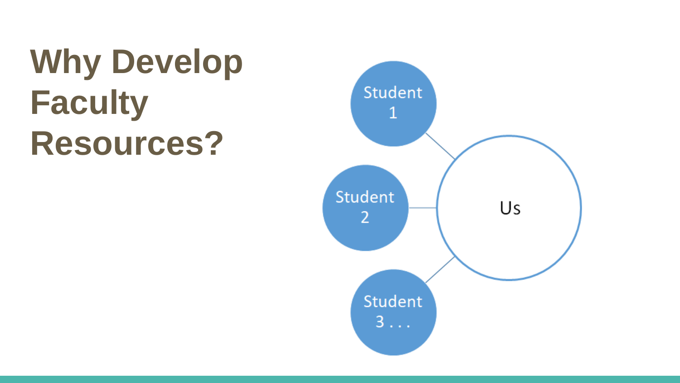## **Why Develop Faculty Resources?**

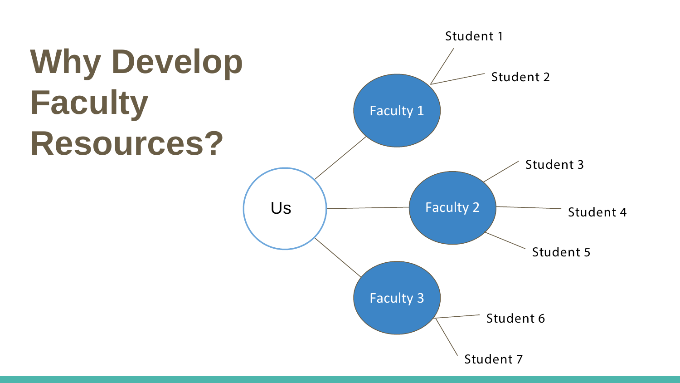# **Why Develop Faculty Resources?**

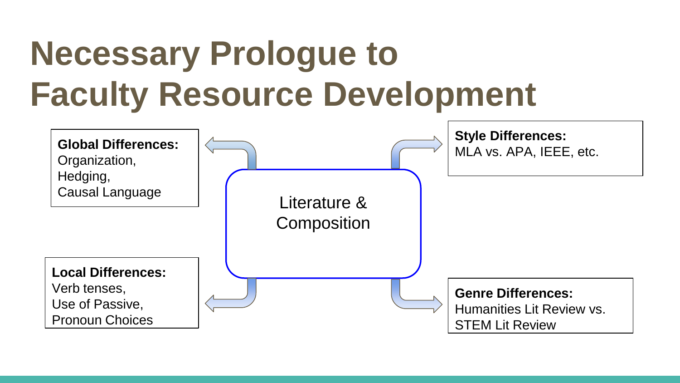### **Necessary Prologue to Faculty Resource Development**

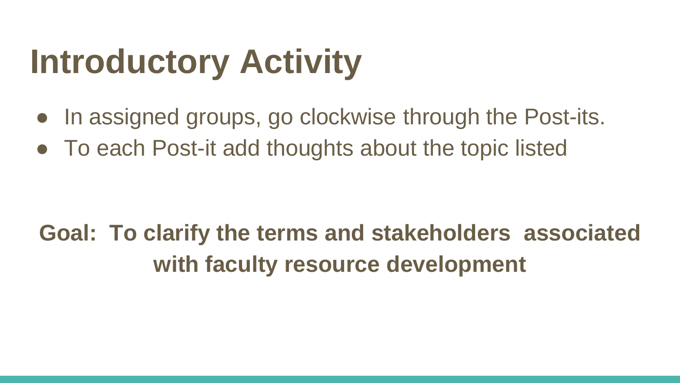### **Introductory Activity**

- In assigned groups, go clockwise through the Post-its.
- To each Post-it add thoughts about the topic listed

#### **Goal: To clarify the terms and stakeholders associated with faculty resource development**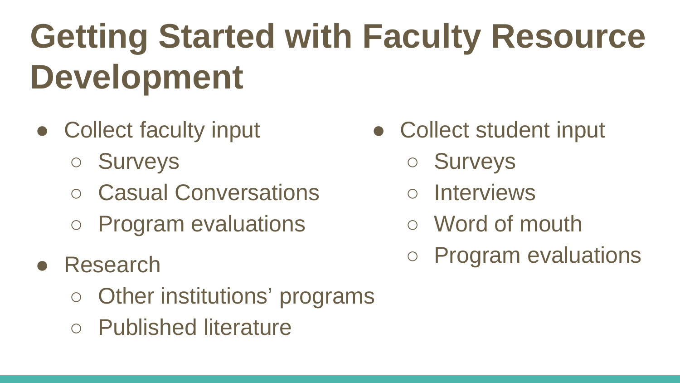# **Getting Started with Faculty Resource Development**

- Collect faculty input
	- Surveys
	- Casual Conversations
	- Program evaluations
- Research
	- Other institutions' programs
	- Published literature
- Collect student input
	- Surveys
	- Interviews
	- Word of mouth
	- Program evaluations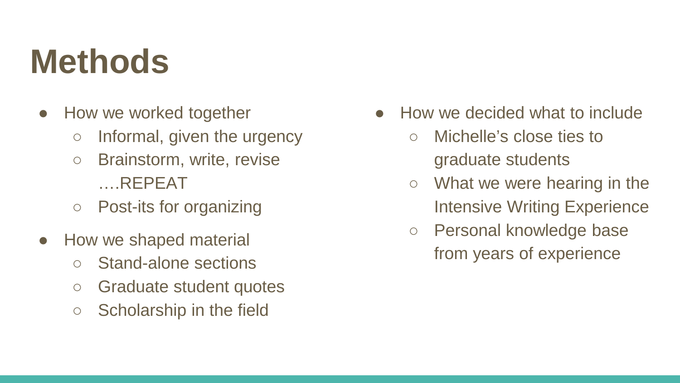#### **Methods**

- How we worked together
	- $\circ$  Informal, given the urgency
	- Brainstorm, write, revise ….REPEAT
	- Post-its for organizing
- How we shaped material
	- Stand-alone sections
	- Graduate student quotes
	- Scholarship in the field
- How we decided what to include
	- Michelle's close ties to graduate students
	- $\circ$  What we were hearing in the Intensive Writing Experience
	- Personal knowledge base from years of experience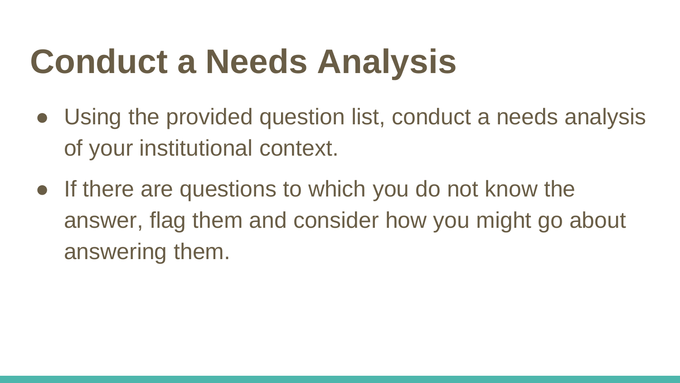### **Conduct a Needs Analysis**

- Using the provided question list, conduct a needs analysis of your institutional context.
- If there are questions to which you do not know the answer, flag them and consider how you might go about answering them.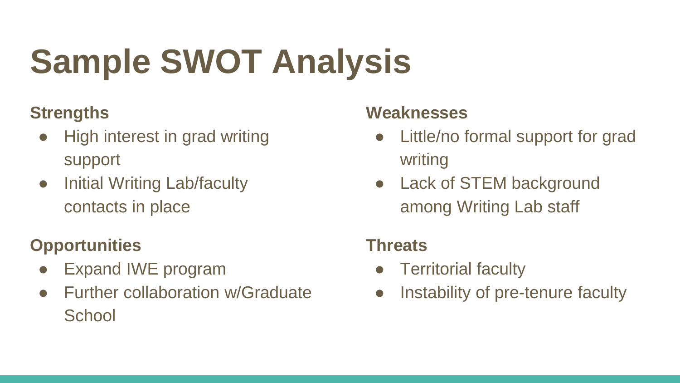# **Sample SWOT Analysis**

#### **Strengths**

- High interest in grad writing support
- Initial Writing Lab/faculty contacts in place

#### **Opportunities**

- Expand IWE program
- **Further collaboration w/Graduate School**

#### **Weaknesses**

- Little/no formal support for grad writing
- Lack of STEM background among Writing Lab staff

#### **Threats**

- Territorial faculty
- Instability of pre-tenure faculty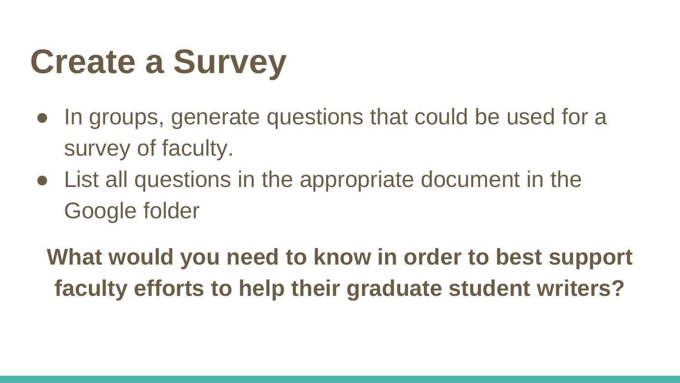## **Create a Survey**

- In groups, generate questions that could be used for a survey of faculty.
- List all questions in the appropriate document in the Google folder

**What would you need to know in order to best support faculty efforts to help their graduate student writers?**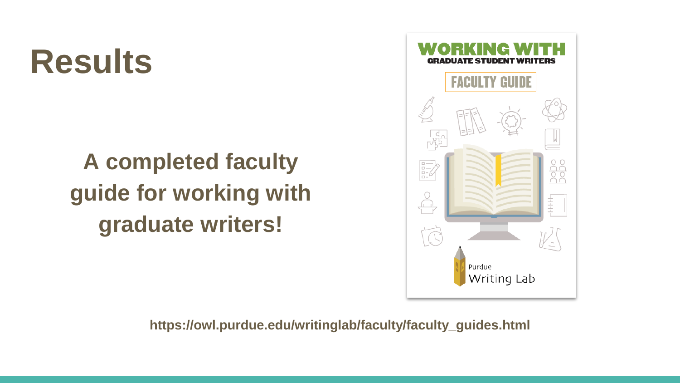#### **Results**

#### **A completed faculty guide for working with graduate writers!**



**https://owl.purdue.edu/writinglab/faculty/faculty\_guides.html**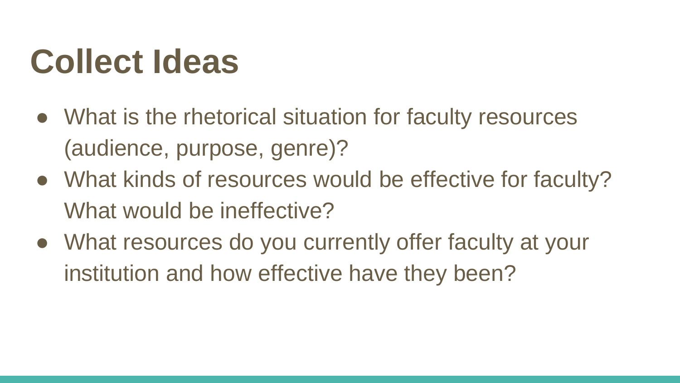#### **Collect Ideas**

- What is the rhetorical situation for faculty resources (audience, purpose, genre)?
- What kinds of resources would be effective for faculty? What would be ineffective?
- What resources do you currently offer faculty at your institution and how effective have they been?